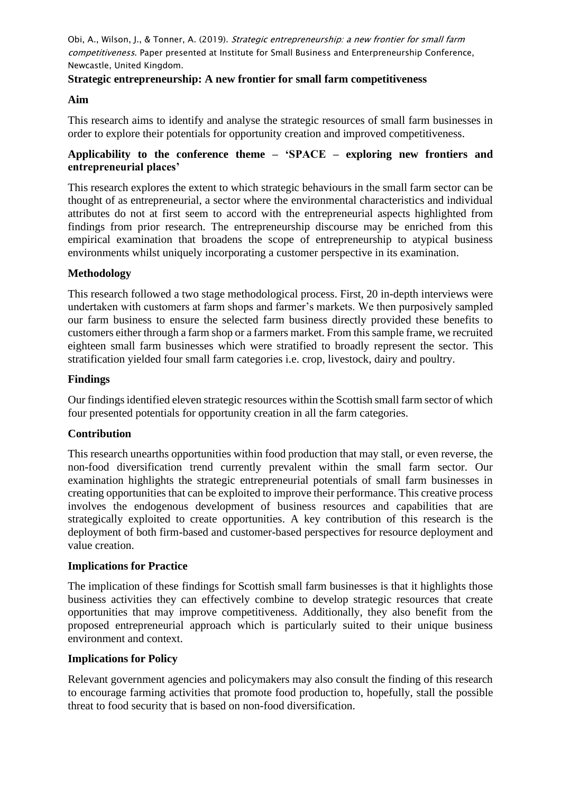## **Strategic entrepreneurship: A new frontier for small farm competitiveness**

## **Aim**

This research aims to identify and analyse the strategic resources of small farm businesses in order to explore their potentials for opportunity creation and improved competitiveness.

# **Applicability to the conference theme – 'SPACE – exploring new frontiers and entrepreneurial places'**

This research explores the extent to which strategic behaviours in the small farm sector can be thought of as entrepreneurial, a sector where the environmental characteristics and individual attributes do not at first seem to accord with the entrepreneurial aspects highlighted from findings from prior research. The entrepreneurship discourse may be enriched from this empirical examination that broadens the scope of entrepreneurship to atypical business environments whilst uniquely incorporating a customer perspective in its examination.

## **Methodology**

This research followed a two stage methodological process. First, 20 in-depth interviews were undertaken with customers at farm shops and farmer's markets. We then purposively sampled our farm business to ensure the selected farm business directly provided these benefits to customers either through a farm shop or a farmers market. From this sample frame, we recruited eighteen small farm businesses which were stratified to broadly represent the sector. This stratification yielded four small farm categories i.e. crop, livestock, dairy and poultry.

### **Findings**

Our findings identified eleven strategic resources within the Scottish small farm sector of which four presented potentials for opportunity creation in all the farm categories.

### **Contribution**

This research unearths opportunities within food production that may stall, or even reverse, the non-food diversification trend currently prevalent within the small farm sector. Our examination highlights the strategic entrepreneurial potentials of small farm businesses in creating opportunities that can be exploited to improve their performance. This creative process involves the endogenous development of business resources and capabilities that are strategically exploited to create opportunities. A key contribution of this research is the deployment of both firm-based and customer-based perspectives for resource deployment and value creation.

### **Implications for Practice**

The implication of these findings for Scottish small farm businesses is that it highlights those business activities they can effectively combine to develop strategic resources that create opportunities that may improve competitiveness. Additionally, they also benefit from the proposed entrepreneurial approach which is particularly suited to their unique business environment and context.

### **Implications for Policy**

Relevant government agencies and policymakers may also consult the finding of this research to encourage farming activities that promote food production to, hopefully, stall the possible threat to food security that is based on non-food diversification.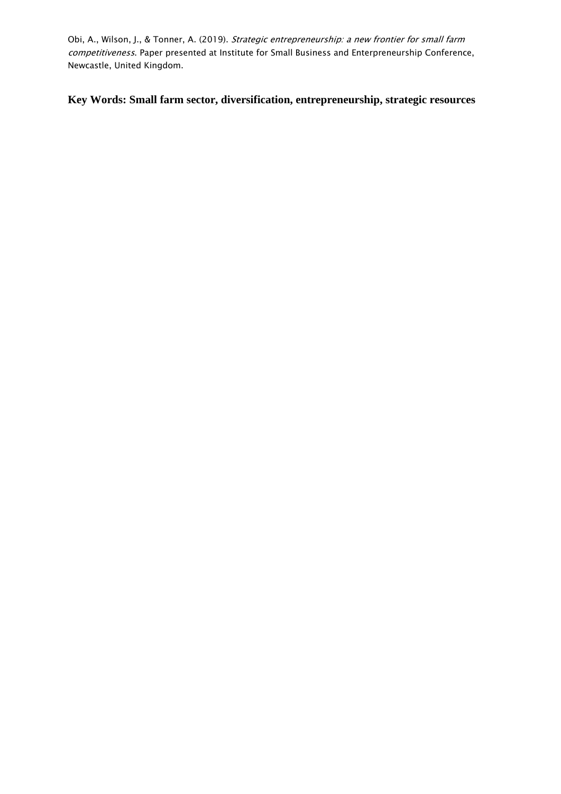**Key Words: Small farm sector, diversification, entrepreneurship, strategic resources**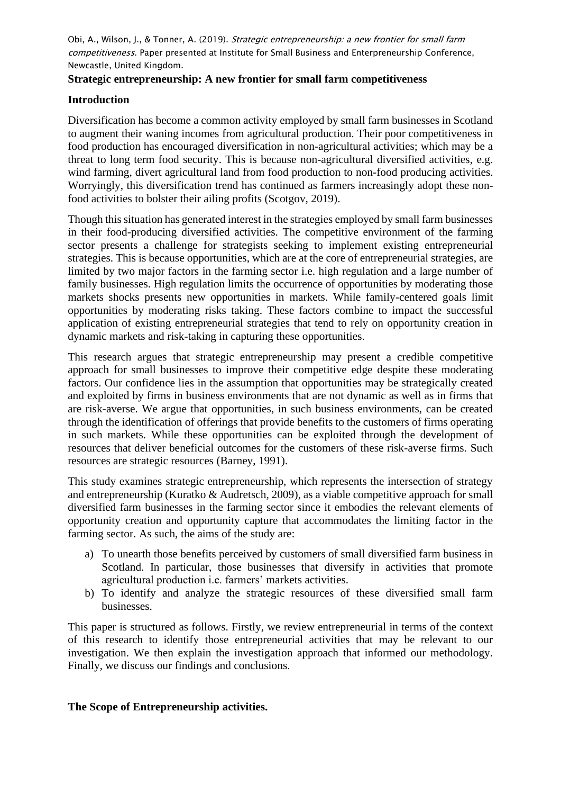## **Strategic entrepreneurship: A new frontier for small farm competitiveness**

## **Introduction**

Diversification has become a common activity employed by small farm businesses in Scotland to augment their waning incomes from agricultural production. Their poor competitiveness in food production has encouraged diversification in non-agricultural activities; which may be a threat to long term food security. This is because non-agricultural diversified activities, e.g. wind farming, divert agricultural land from food production to non-food producing activities. Worryingly, this diversification trend has continued as farmers increasingly adopt these nonfood activities to bolster their ailing profits (Scotgov, 2019).

Though this situation has generated interest in the strategies employed by small farm businesses in their food-producing diversified activities. The competitive environment of the farming sector presents a challenge for strategists seeking to implement existing entrepreneurial strategies. This is because opportunities, which are at the core of entrepreneurial strategies, are limited by two major factors in the farming sector i.e. high regulation and a large number of family businesses. High regulation limits the occurrence of opportunities by moderating those markets shocks presents new opportunities in markets. While family-centered goals limit opportunities by moderating risks taking. These factors combine to impact the successful application of existing entrepreneurial strategies that tend to rely on opportunity creation in dynamic markets and risk-taking in capturing these opportunities.

This research argues that strategic entrepreneurship may present a credible competitive approach for small businesses to improve their competitive edge despite these moderating factors. Our confidence lies in the assumption that opportunities may be strategically created and exploited by firms in business environments that are not dynamic as well as in firms that are risk-averse. We argue that opportunities, in such business environments, can be created through the identification of offerings that provide benefits to the customers of firms operating in such markets. While these opportunities can be exploited through the development of resources that deliver beneficial outcomes for the customers of these risk-averse firms. Such resources are strategic resources (Barney, 1991).

This study examines strategic entrepreneurship, which represents the intersection of strategy and entrepreneurship (Kuratko & Audretsch, 2009), as a viable competitive approach for small diversified farm businesses in the farming sector since it embodies the relevant elements of opportunity creation and opportunity capture that accommodates the limiting factor in the farming sector. As such, the aims of the study are:

- a) To unearth those benefits perceived by customers of small diversified farm business in Scotland. In particular, those businesses that diversify in activities that promote agricultural production i.e. farmers' markets activities.
- b) To identify and analyze the strategic resources of these diversified small farm businesses.

This paper is structured as follows. Firstly, we review entrepreneurial in terms of the context of this research to identify those entrepreneurial activities that may be relevant to our investigation. We then explain the investigation approach that informed our methodology. Finally, we discuss our findings and conclusions.

### **The Scope of Entrepreneurship activities.**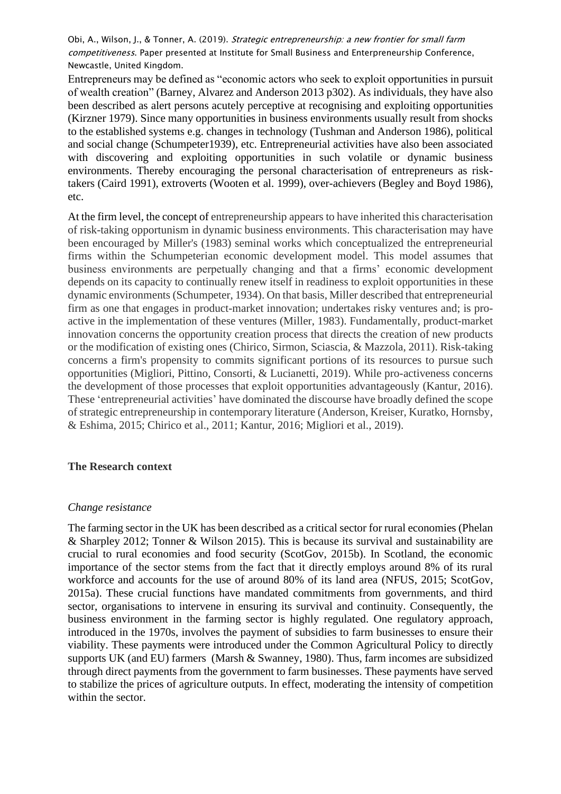Entrepreneurs may be defined as "economic actors who seek to exploit opportunities in pursuit of wealth creation" (Barney, Alvarez and Anderson 2013 p302). As individuals, they have also been described as alert persons acutely perceptive at recognising and exploiting opportunities (Kirzner 1979). Since many opportunities in business environments usually result from shocks to the established systems e.g. changes in technology (Tushman and Anderson 1986), political and social change (Schumpeter1939), etc. Entrepreneurial activities have also been associated with discovering and exploiting opportunities in such volatile or dynamic business environments. Thereby encouraging the personal characterisation of entrepreneurs as risktakers (Caird 1991), extroverts (Wooten et al. 1999), over-achievers (Begley and Boyd 1986), etc.

At the firm level, the concept of entrepreneurship appears to have inherited this characterisation of risk-taking opportunism in dynamic business environments. This characterisation may have been encouraged by Miller's (1983) seminal works which conceptualized the entrepreneurial firms within the Schumpeterian economic development model. This model assumes that business environments are perpetually changing and that a firms' economic development depends on its capacity to continually renew itself in readiness to exploit opportunities in these dynamic environments (Schumpeter, 1934). On that basis, Miller described that entrepreneurial firm as one that engages in product-market innovation; undertakes risky ventures and; is proactive in the implementation of these ventures (Miller, 1983). Fundamentally, product-market innovation concerns the opportunity creation process that directs the creation of new products or the modification of existing ones (Chirico, Sirmon, Sciascia, & Mazzola, 2011). Risk-taking concerns a firm's propensity to commits significant portions of its resources to pursue such opportunities (Migliori, Pittino, Consorti, & Lucianetti, 2019). While pro-activeness concerns the development of those processes that exploit opportunities advantageously (Kantur, 2016). These 'entrepreneurial activities' have dominated the discourse have broadly defined the scope of strategic entrepreneurship in contemporary literature (Anderson, Kreiser, Kuratko, Hornsby, & Eshima, 2015; Chirico et al., 2011; Kantur, 2016; Migliori et al., 2019).

### **The Research context**

### *Change resistance*

The farming sector in the UK has been described as a critical sector for rural economies (Phelan & Sharpley 2012; Tonner & Wilson 2015). This is because its survival and sustainability are crucial to rural economies and food security (ScotGov, 2015b). In Scotland, the economic importance of the sector stems from the fact that it directly employs around 8% of its rural workforce and accounts for the use of around 80% of its land area (NFUS, 2015; ScotGov, 2015a). These crucial functions have mandated commitments from governments, and third sector, organisations to intervene in ensuring its survival and continuity. Consequently, the business environment in the farming sector is highly regulated. One regulatory approach, introduced in the 1970s, involves the payment of subsidies to farm businesses to ensure their viability. These payments were introduced under the Common Agricultural Policy to directly supports UK (and EU) farmers (Marsh & Swanney, 1980). Thus, farm incomes are subsidized through direct payments from the government to farm businesses. These payments have served to stabilize the prices of agriculture outputs. In effect, moderating the intensity of competition within the sector.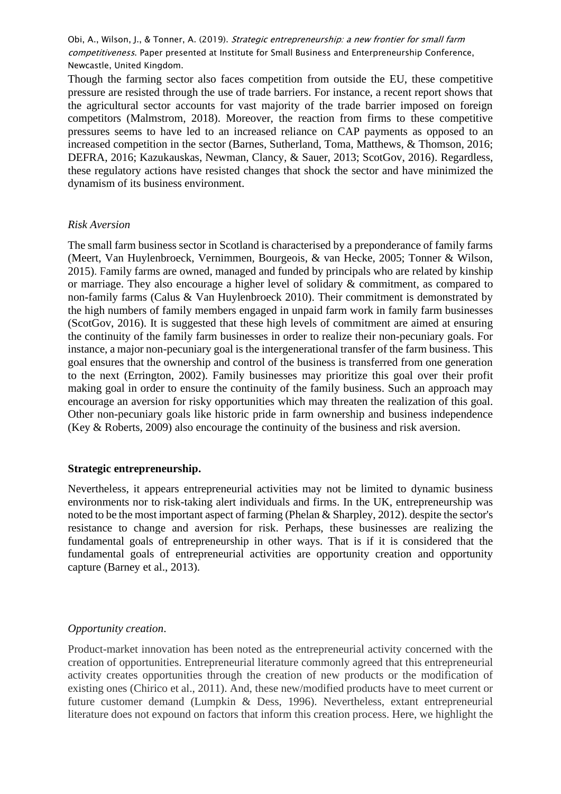Though the farming sector also faces competition from outside the EU, these competitive pressure are resisted through the use of trade barriers. For instance, a recent report shows that the agricultural sector accounts for vast majority of the trade barrier imposed on foreign competitors (Malmstrom, 2018). Moreover, the reaction from firms to these competitive pressures seems to have led to an increased reliance on CAP payments as opposed to an increased competition in the sector (Barnes, Sutherland, Toma, Matthews, & Thomson, 2016; DEFRA, 2016; Kazukauskas, Newman, Clancy, & Sauer, 2013; ScotGov, 2016). Regardless, these regulatory actions have resisted changes that shock the sector and have minimized the dynamism of its business environment.

#### *Risk Aversion*

The small farm business sector in Scotland is characterised by a preponderance of family farms (Meert, Van Huylenbroeck, Vernimmen, Bourgeois, & van Hecke, 2005; Tonner & Wilson, 2015). Family farms are owned, managed and funded by principals who are related by kinship or marriage. They also encourage a higher level of solidary & commitment, as compared to non-family farms (Calus & Van Huylenbroeck 2010). Their commitment is demonstrated by the high numbers of family members engaged in unpaid farm work in family farm businesses (ScotGov, 2016). It is suggested that these high levels of commitment are aimed at ensuring the continuity of the family farm businesses in order to realize their non-pecuniary goals. For instance, a major non-pecuniary goal is the intergenerational transfer of the farm business. This goal ensures that the ownership and control of the business is transferred from one generation to the next (Errington, 2002). Family businesses may prioritize this goal over their profit making goal in order to ensure the continuity of the family business. Such an approach may encourage an aversion for risky opportunities which may threaten the realization of this goal. Other non-pecuniary goals like historic pride in farm ownership and business independence (Key & Roberts, 2009) also encourage the continuity of the business and risk aversion.

#### **Strategic entrepreneurship.**

Nevertheless, it appears entrepreneurial activities may not be limited to dynamic business environments nor to risk-taking alert individuals and firms. In the UK, entrepreneurship was noted to be the most important aspect of farming (Phelan & Sharpley, 2012). despite the sector's resistance to change and aversion for risk. Perhaps, these businesses are realizing the fundamental goals of entrepreneurship in other ways. That is if it is considered that the fundamental goals of entrepreneurial activities are opportunity creation and opportunity capture (Barney et al., 2013).

### *Opportunity creation*.

Product-market innovation has been noted as the entrepreneurial activity concerned with the creation of opportunities. Entrepreneurial literature commonly agreed that this entrepreneurial activity creates opportunities through the creation of new products or the modification of existing ones (Chirico et al., 2011). And, these new/modified products have to meet current or future customer demand (Lumpkin & Dess, 1996). Nevertheless, extant entrepreneurial literature does not expound on factors that inform this creation process. Here, we highlight the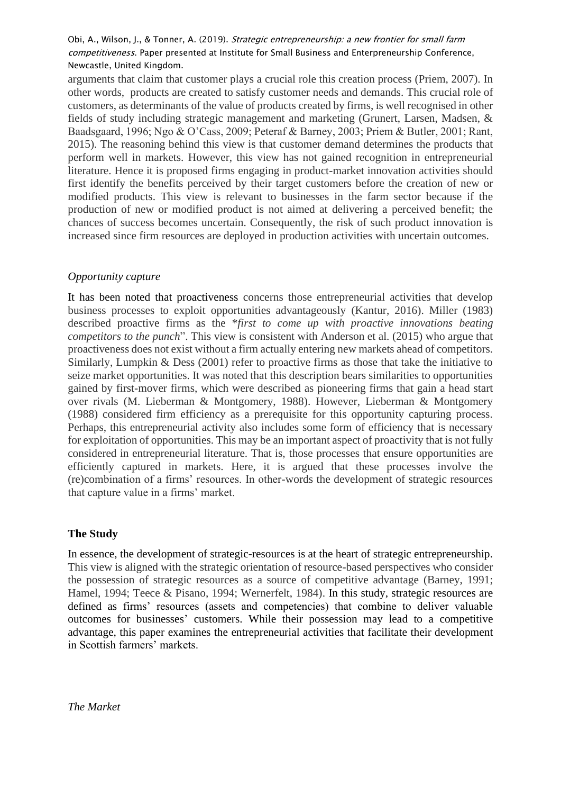arguments that claim that customer plays a crucial role this creation process (Priem, 2007). In other words, products are created to satisfy customer needs and demands. This crucial role of customers, as determinants of the value of products created by firms, is well recognised in other fields of study including strategic management and marketing (Grunert, Larsen, Madsen, & Baadsgaard, 1996; Ngo & O'Cass, 2009; Peteraf & Barney, 2003; Priem & Butler, 2001; Rant, 2015). The reasoning behind this view is that customer demand determines the products that perform well in markets. However, this view has not gained recognition in entrepreneurial literature. Hence it is proposed firms engaging in product-market innovation activities should first identify the benefits perceived by their target customers before the creation of new or modified products. This view is relevant to businesses in the farm sector because if the production of new or modified product is not aimed at delivering a perceived benefit; the chances of success becomes uncertain. Consequently, the risk of such product innovation is increased since firm resources are deployed in production activities with uncertain outcomes.

## *Opportunity capture*

It has been noted that proactiveness concerns those entrepreneurial activities that develop business processes to exploit opportunities advantageously (Kantur, 2016). Miller (1983) described proactive firms as the \**first to come up with proactive innovations beating competitors to the punch*". This view is consistent with Anderson et al. (2015) who argue that proactiveness does not exist without a firm actually entering new markets ahead of competitors. Similarly, Lumpkin & Dess (2001) refer to proactive firms as those that take the initiative to seize market opportunities. It was noted that this description bears similarities to opportunities gained by first-mover firms, which were described as pioneering firms that gain a head start over rivals (M. Lieberman & Montgomery, 1988). However, Lieberman & Montgomery (1988) considered firm efficiency as a prerequisite for this opportunity capturing process. Perhaps, this entrepreneurial activity also includes some form of efficiency that is necessary for exploitation of opportunities. This may be an important aspect of proactivity that is not fully considered in entrepreneurial literature. That is, those processes that ensure opportunities are efficiently captured in markets. Here, it is argued that these processes involve the (re)combination of a firms' resources. In other-words the development of strategic resources that capture value in a firms' market.

# **The Study**

In essence, the development of strategic-resources is at the heart of strategic entrepreneurship. This view is aligned with the strategic orientation of resource-based perspectives who consider the possession of strategic resources as a source of competitive advantage (Barney, 1991; Hamel, 1994; Teece & Pisano, 1994; Wernerfelt, 1984). In this study, strategic resources are defined as firms' resources (assets and competencies) that combine to deliver valuable outcomes for businesses' customers. While their possession may lead to a competitive advantage, this paper examines the entrepreneurial activities that facilitate their development in Scottish farmers' markets.

*The Market*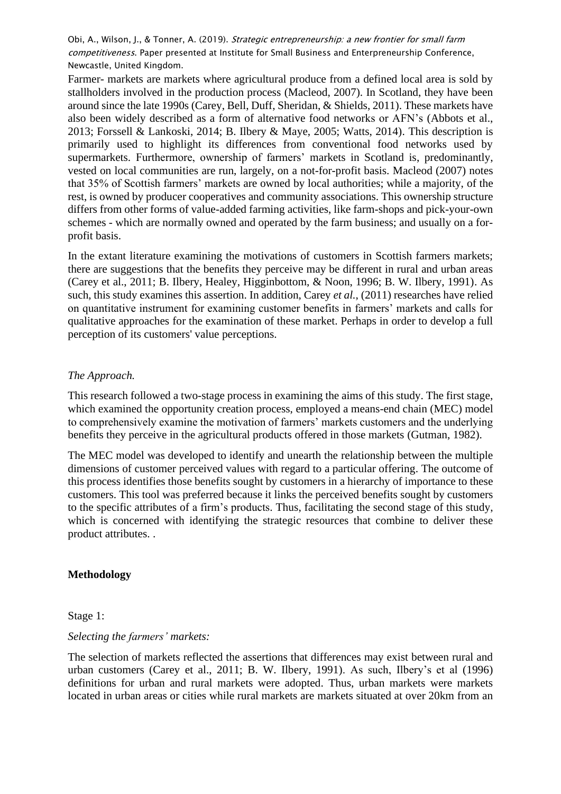Farmer- markets are markets where agricultural produce from a defined local area is sold by stallholders involved in the production process (Macleod, 2007). In Scotland, they have been around since the late 1990s (Carey, Bell, Duff, Sheridan, & Shields, 2011). These markets have also been widely described as a form of alternative food networks or AFN's (Abbots et al., 2013; Forssell & Lankoski, 2014; B. Ilbery & Maye, 2005; Watts, 2014). This description is primarily used to highlight its differences from conventional food networks used by supermarkets. Furthermore, ownership of farmers' markets in Scotland is, predominantly, vested on local communities are run, largely, on a not-for-profit basis. Macleod (2007) notes that 35% of Scottish farmers' markets are owned by local authorities; while a majority, of the rest, is owned by producer cooperatives and community associations. This ownership structure differs from other forms of value-added farming activities, like farm-shops and pick-your-own schemes - which are normally owned and operated by the farm business; and usually on a forprofit basis.

In the extant literature examining the motivations of customers in Scottish farmers markets; there are suggestions that the benefits they perceive may be different in rural and urban areas (Carey et al., 2011; B. Ilbery, Healey, Higginbottom, & Noon, 1996; B. W. Ilbery, 1991). As such, this study examines this assertion. In addition, Carey *et al.*, (2011) researches have relied on quantitative instrument for examining customer benefits in farmers' markets and calls for qualitative approaches for the examination of these market. Perhaps in order to develop a full perception of its customers' value perceptions.

### *The Approach.*

This research followed a two-stage process in examining the aims of this study. The first stage, which examined the opportunity creation process, employed a means-end chain (MEC) model to comprehensively examine the motivation of farmers' markets customers and the underlying benefits they perceive in the agricultural products offered in those markets (Gutman, 1982).

The MEC model was developed to identify and unearth the relationship between the multiple dimensions of customer perceived values with regard to a particular offering. The outcome of this process identifies those benefits sought by customers in a hierarchy of importance to these customers. This tool was preferred because it links the perceived benefits sought by customers to the specific attributes of a firm's products. Thus, facilitating the second stage of this study, which is concerned with identifying the strategic resources that combine to deliver these product attributes. .

### **Methodology**

Stage 1:

### *Selecting the farmers' markets:*

The selection of markets reflected the assertions that differences may exist between rural and urban customers (Carey et al., 2011; B. W. Ilbery, 1991). As such, Ilbery's et al (1996) definitions for urban and rural markets were adopted. Thus, urban markets were markets located in urban areas or cities while rural markets are markets situated at over 20km from an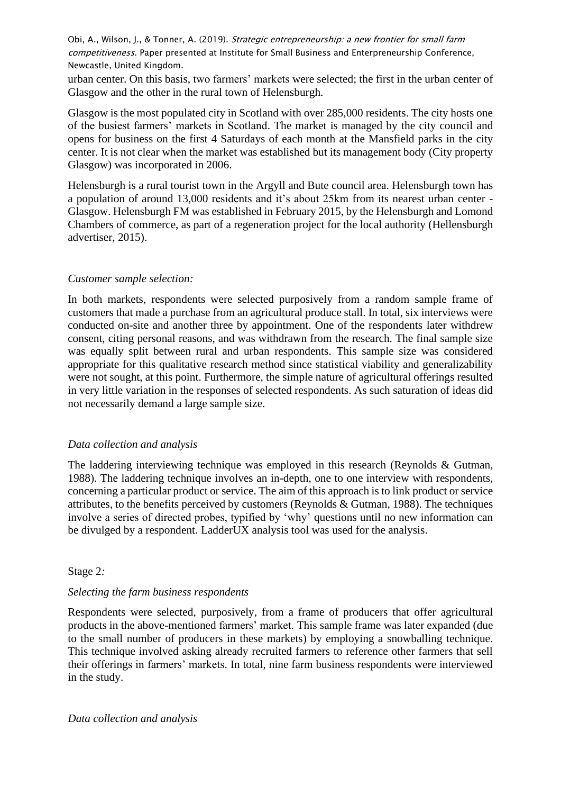urban center. On this basis, two farmers' markets were selected; the first in the urban center of Glasgow and the other in the rural town of Helensburgh.

Glasgow is the most populated city in Scotland with over 285,000 residents. The city hosts one of the busiest farmers' markets in Scotland. The market is managed by the city council and opens for business on the first 4 Saturdays of each month at the Mansfield parks in the city center. It is not clear when the market was established but its management body (City property Glasgow) was incorporated in 2006.

Helensburgh is a rural tourist town in the Argyll and Bute council area. Helensburgh town has a population of around 13,000 residents and it's about 25km from its nearest urban center - Glasgow. Helensburgh FM was established in February 2015, by the Helensburgh and Lomond Chambers of commerce, as part of a regeneration project for the local authority (Hellensburgh advertiser, 2015).

### *Customer sample selection:*

In both markets, respondents were selected purposively from a random sample frame of customers that made a purchase from an agricultural produce stall. In total, six interviews were conducted on-site and another three by appointment. One of the respondents later withdrew consent, citing personal reasons, and was withdrawn from the research. The final sample size was equally split between rural and urban respondents. This sample size was considered appropriate for this qualitative research method since statistical viability and generalizability were not sought, at this point. Furthermore, the simple nature of agricultural offerings resulted in very little variation in the responses of selected respondents. As such saturation of ideas did not necessarily demand a large sample size.

### *Data collection and analysis*

The laddering interviewing technique was employed in this research (Reynolds & Gutman, 1988). The laddering technique involves an in-depth, one to one interview with respondents, concerning a particular product or service. The aim of this approach is to link product or service attributes, to the benefits perceived by customers (Reynolds & Gutman, 1988). The techniques involve a series of directed probes, typified by 'why' questions until no new information can be divulged by a respondent. LadderUX analysis tool was used for the analysis.

### Stage 2*:*

### *Selecting the farm business respondents*

Respondents were selected, purposively, from a frame of producers that offer agricultural products in the above-mentioned farmers' market. This sample frame was later expanded (due to the small number of producers in these markets) by employing a snowballing technique. This technique involved asking already recruited farmers to reference other farmers that sell their offerings in farmers' markets. In total, nine farm business respondents were interviewed in the study.

*Data collection and analysis*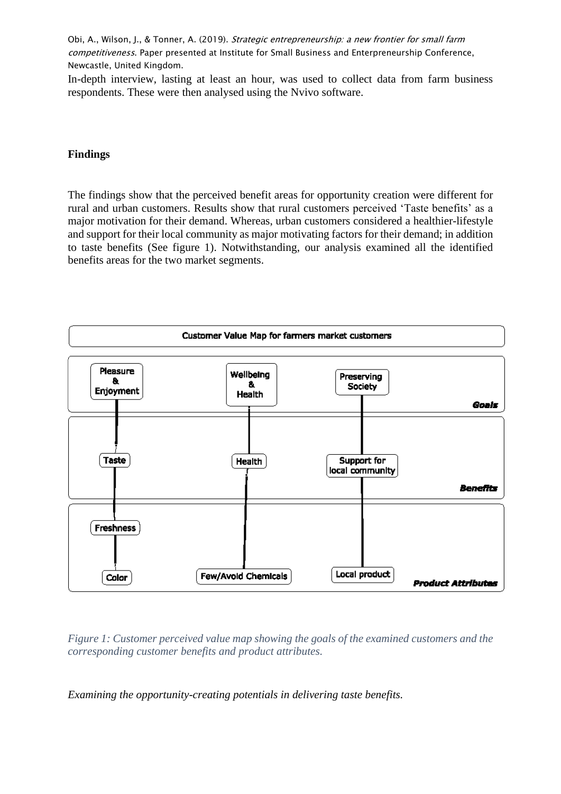In-depth interview, lasting at least an hour, was used to collect data from farm business respondents. These were then analysed using the Nvivo software.

## **Findings**

The findings show that the perceived benefit areas for opportunity creation were different for rural and urban customers. Results show that rural customers perceived 'Taste benefits' as a major motivation for their demand. Whereas, urban customers considered a healthier-lifestyle and support for their local community as major motivating factors for their demand; in addition to taste benefits (See figure 1). Notwithstanding, our analysis examined all the identified benefits areas for the two market segments.



*Figure 1: Customer perceived value map showing the goals of the examined customers and the corresponding customer benefits and product attributes.* 

*Examining the opportunity-creating potentials in delivering taste benefits.*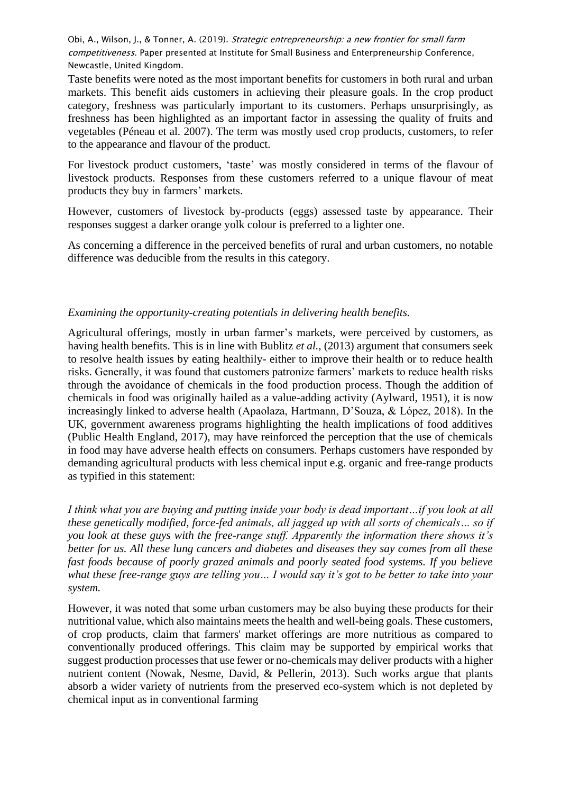Taste benefits were noted as the most important benefits for customers in both rural and urban markets. This benefit aids customers in achieving their pleasure goals. In the crop product category, freshness was particularly important to its customers. Perhaps unsurprisingly, as freshness has been highlighted as an important factor in assessing the quality of fruits and vegetables (Péneau et al. 2007). The term was mostly used crop products, customers, to refer to the appearance and flavour of the product.

For livestock product customers, 'taste' was mostly considered in terms of the flavour of livestock products. Responses from these customers referred to a unique flavour of meat products they buy in farmers' markets.

However, customers of livestock by-products (eggs) assessed taste by appearance. Their responses suggest a darker orange yolk colour is preferred to a lighter one.

As concerning a difference in the perceived benefits of rural and urban customers, no notable difference was deducible from the results in this category.

## *Examining the opportunity-creating potentials in delivering health benefits.*

Agricultural offerings, mostly in urban farmer's markets, were perceived by customers, as having health benefits. This is in line with Bublitz *et al.*, (2013) argument that consumers seek to resolve health issues by eating healthily- either to improve their health or to reduce health risks. Generally, it was found that customers patronize farmers' markets to reduce health risks through the avoidance of chemicals in the food production process. Though the addition of chemicals in food was originally hailed as a value-adding activity (Aylward, 1951), it is now increasingly linked to adverse health (Apaolaza, Hartmann, D'Souza, & López, 2018). In the UK, government awareness programs highlighting the health implications of food additives (Public Health England, 2017), may have reinforced the perception that the use of chemicals in food may have adverse health effects on consumers. Perhaps customers have responded by demanding agricultural products with less chemical input e.g. organic and free-range products as typified in this statement:

*I think what you are buying and putting inside your body is dead important…if you look at all these genetically modified, force-fed animals, all jagged up with all sorts of chemicals… so if you look at these guys with the free-range stuff. Apparently the information there shows it's better for us. All these lung cancers and diabetes and diseases they say comes from all these fast foods because of poorly grazed animals and poorly seated food systems. If you believe what these free-range guys are telling you… I would say it's got to be better to take into your system.* 

However, it was noted that some urban customers may be also buying these products for their nutritional value, which also maintains meets the health and well-being goals. These customers, of crop products, claim that farmers' market offerings are more nutritious as compared to conventionally produced offerings. This claim may be supported by empirical works that suggest production processes that use fewer or no-chemicals may deliver products with a higher nutrient content (Nowak, Nesme, David, & Pellerin, 2013). Such works argue that plants absorb a wider variety of nutrients from the preserved eco-system which is not depleted by chemical input as in conventional farming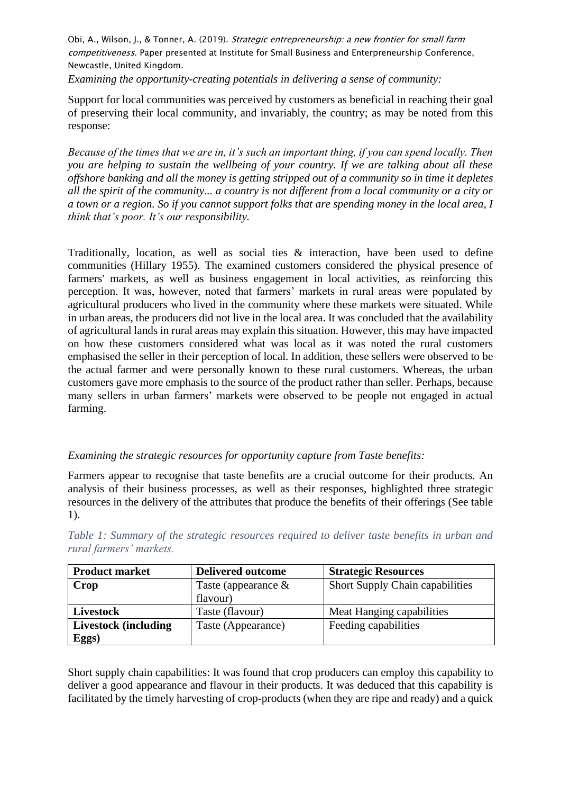*Examining the opportunity-creating potentials in delivering a sense of community:* 

Support for local communities was perceived by customers as beneficial in reaching their goal of preserving their local community, and invariably, the country; as may be noted from this response:

*Because of the times that we are in, it's such an important thing, if you can spend locally. Then you are helping to sustain the wellbeing of your country. If we are talking about all these offshore banking and all the money is getting stripped out of a community so in time it depletes all the spirit of the community... a country is not different from a local community or a city or a town or a region. So if you cannot support folks that are spending money in the local area, I think that's poor. It's our responsibility.* 

Traditionally, location, as well as social ties & interaction, have been used to define communities (Hillary 1955). The examined customers considered the physical presence of farmers' markets, as well as business engagement in local activities, as reinforcing this perception. It was, however, noted that farmers' markets in rural areas were populated by agricultural producers who lived in the community where these markets were situated. While in urban areas, the producers did not live in the local area. It was concluded that the availability of agricultural lands in rural areas may explain this situation. However, this may have impacted on how these customers considered what was local as it was noted the rural customers emphasised the seller in their perception of local. In addition, these sellers were observed to be the actual farmer and were personally known to these rural customers. Whereas, the urban customers gave more emphasis to the source of the product rather than seller. Perhaps, because many sellers in urban farmers' markets were observed to be people not engaged in actual farming.

# *Examining the strategic resources for opportunity capture from Taste benefits:*

Farmers appear to recognise that taste benefits are a crucial outcome for their products. An analysis of their business processes, as well as their responses, highlighted three strategic resources in the delivery of the attributes that produce the benefits of their offerings (See table 1).

*Table 1: Summary of the strategic resources required to deliver taste benefits in urban and rural farmers' markets.* 

| <b>Product market</b>       | <b>Delivered outcome</b> | <b>Strategic Resources</b>      |
|-----------------------------|--------------------------|---------------------------------|
| Crop                        | Taste (appearance $\&$   | Short Supply Chain capabilities |
|                             | flavour)                 |                                 |
| Livestock                   | Taste (flavour)          | Meat Hanging capabilities       |
| <b>Livestock</b> (including | Taste (Appearance)       | Feeding capabilities            |
| Eggs)                       |                          |                                 |

Short supply chain capabilities: It was found that crop producers can employ this capability to deliver a good appearance and flavour in their products. It was deduced that this capability is facilitated by the timely harvesting of crop-products (when they are ripe and ready) and a quick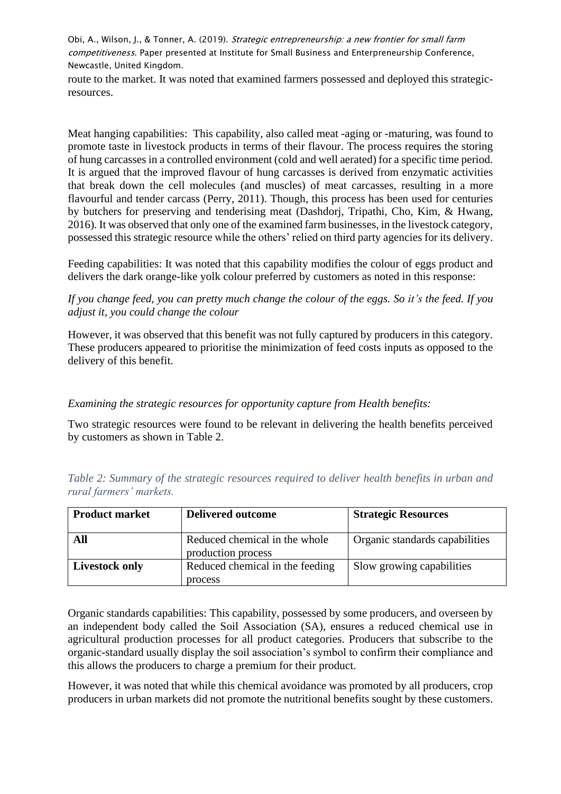route to the market. It was noted that examined farmers possessed and deployed this strategicresources.

Meat hanging capabilities: This capability, also called meat -aging or -maturing, was found to promote taste in livestock products in terms of their flavour. The process requires the storing of hung carcasses in a controlled environment (cold and well aerated) for a specific time period. It is argued that the improved flavour of hung carcasses is derived from enzymatic activities that break down the cell molecules (and muscles) of meat carcasses, resulting in a more flavourful and tender carcass (Perry, 2011). Though, this process has been used for centuries by butchers for preserving and tenderising meat (Dashdorj, Tripathi, Cho, Kim, & Hwang, 2016). It was observed that only one of the examined farm businesses, in the livestock category, possessed this strategic resource while the others' relied on third party agencies for its delivery.

Feeding capabilities: It was noted that this capability modifies the colour of eggs product and delivers the dark orange-like yolk colour preferred by customers as noted in this response:

*If you change feed, you can pretty much change the colour of the eggs. So it's the feed. If you adjust it, you could change the colour*

However, it was observed that this benefit was not fully captured by producers in this category. These producers appeared to prioritise the minimization of feed costs inputs as opposed to the delivery of this benefit.

### *Examining the strategic resources for opportunity capture from Health benefits:*

Two strategic resources were found to be relevant in delivering the health benefits perceived by customers as shown in Table 2.

| <b>Product market</b> | <b>Delivered outcome</b>                            | <b>Strategic Resources</b>     |
|-----------------------|-----------------------------------------------------|--------------------------------|
| All                   | Reduced chemical in the whole<br>production process | Organic standards capabilities |
| <b>Livestock only</b> | Reduced chemical in the feeding<br>process          | Slow growing capabilities      |

*Table 2: Summary of the strategic resources required to deliver health benefits in urban and rural farmers' markets.*

Organic standards capabilities: This capability, possessed by some producers, and overseen by an independent body called the Soil Association (SA), ensures a reduced chemical use in agricultural production processes for all product categories. Producers that subscribe to the organic-standard usually display the soil association's symbol to confirm their compliance and this allows the producers to charge a premium for their product.

However, it was noted that while this chemical avoidance was promoted by all producers, crop producers in urban markets did not promote the nutritional benefits sought by these customers.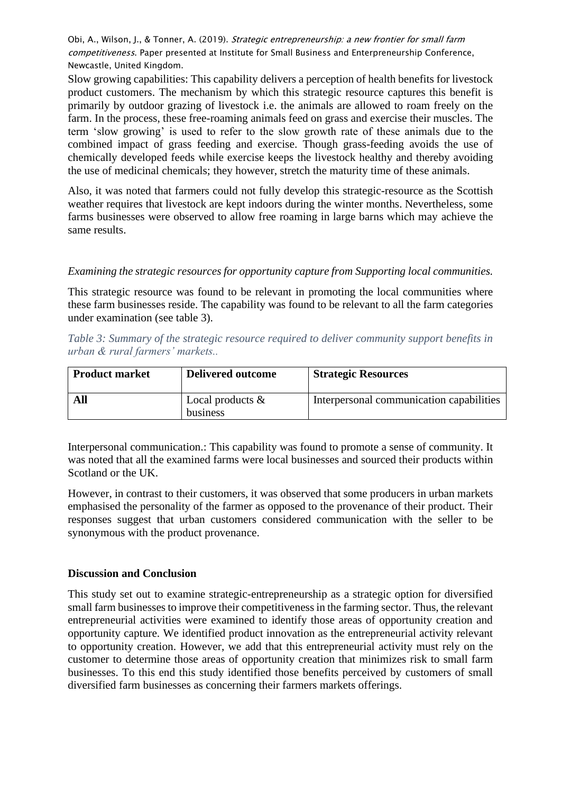Slow growing capabilities: This capability delivers a perception of health benefits for livestock product customers. The mechanism by which this strategic resource captures this benefit is primarily by outdoor grazing of livestock i.e. the animals are allowed to roam freely on the farm. In the process, these free-roaming animals feed on grass and exercise their muscles. The term 'slow growing' is used to refer to the slow growth rate of these animals due to the combined impact of grass feeding and exercise. Though grass-feeding avoids the use of chemically developed feeds while exercise keeps the livestock healthy and thereby avoiding the use of medicinal chemicals; they however, stretch the maturity time of these animals.

Also, it was noted that farmers could not fully develop this strategic-resource as the Scottish weather requires that livestock are kept indoors during the winter months. Nevertheless, some farms businesses were observed to allow free roaming in large barns which may achieve the same results.

## *Examining the strategic resources for opportunity capture from Supporting local communities.*

This strategic resource was found to be relevant in promoting the local communities where these farm businesses reside. The capability was found to be relevant to all the farm categories under examination (see table 3).

| Table 3: Summary of the strategic resource required to deliver community support benefits in |  |  |
|----------------------------------------------------------------------------------------------|--|--|
| urban & rural farmers' markets                                                               |  |  |

| <b>Product market</b> | <b>Delivered outcome</b>        | <b>Strategic Resources</b>               |
|-----------------------|---------------------------------|------------------------------------------|
| All                   | Local products $\&$<br>business | Interpersonal communication capabilities |

Interpersonal communication.: This capability was found to promote a sense of community. It was noted that all the examined farms were local businesses and sourced their products within Scotland or the UK.

However, in contrast to their customers, it was observed that some producers in urban markets emphasised the personality of the farmer as opposed to the provenance of their product. Their responses suggest that urban customers considered communication with the seller to be synonymous with the product provenance.

### **Discussion and Conclusion**

This study set out to examine strategic-entrepreneurship as a strategic option for diversified small farm businesses to improve their competitiveness in the farming sector. Thus, the relevant entrepreneurial activities were examined to identify those areas of opportunity creation and opportunity capture. We identified product innovation as the entrepreneurial activity relevant to opportunity creation. However, we add that this entrepreneurial activity must rely on the customer to determine those areas of opportunity creation that minimizes risk to small farm businesses. To this end this study identified those benefits perceived by customers of small diversified farm businesses as concerning their farmers markets offerings.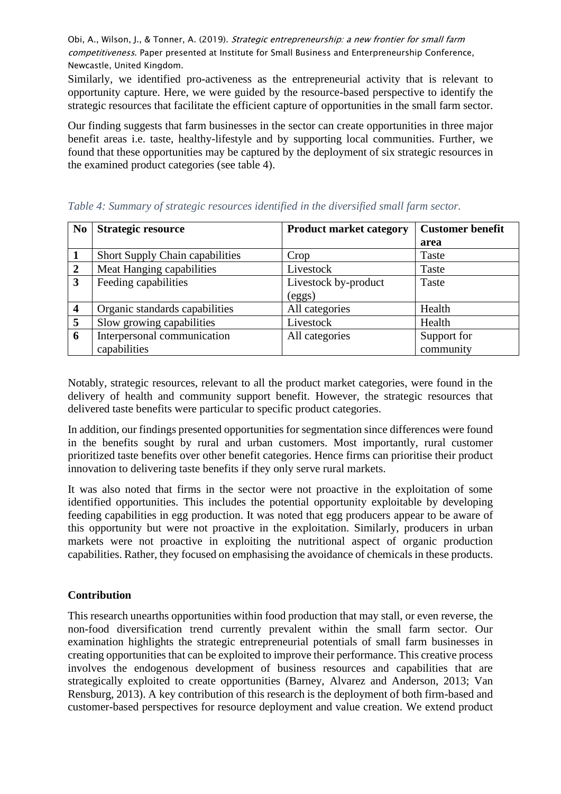Similarly, we identified pro-activeness as the entrepreneurial activity that is relevant to opportunity capture. Here, we were guided by the resource-based perspective to identify the strategic resources that facilitate the efficient capture of opportunities in the small farm sector.

Our finding suggests that farm businesses in the sector can create opportunities in three major benefit areas i.e. taste, healthy-lifestyle and by supporting local communities. Further, we found that these opportunities may be captured by the deployment of six strategic resources in the examined product categories (see table 4).

| N <sub>0</sub>          | <b>Strategic resource</b>       | <b>Product market category</b> | <b>Customer benefit</b> |
|-------------------------|---------------------------------|--------------------------------|-------------------------|
|                         |                                 |                                | area                    |
| 1                       | Short Supply Chain capabilities | Crop                           | Taste                   |
| $\overline{2}$          | Meat Hanging capabilities       | Livestock                      | Taste                   |
| $\overline{\mathbf{3}}$ | Feeding capabilities            | Livestock by-product           | Taste                   |
|                         |                                 | (eggs)                         |                         |
| $\overline{\mathbf{4}}$ | Organic standards capabilities  | All categories                 | Health                  |
| 5                       | Slow growing capabilities       | Livestock                      | Health                  |
| 6                       | Interpersonal communication     | All categories                 | Support for             |
|                         | capabilities                    |                                | community               |

*Table 4: Summary of strategic resources identified in the diversified small farm sector.*

Notably, strategic resources, relevant to all the product market categories, were found in the delivery of health and community support benefit. However, the strategic resources that delivered taste benefits were particular to specific product categories.

In addition, our findings presented opportunities for segmentation since differences were found in the benefits sought by rural and urban customers. Most importantly, rural customer prioritized taste benefits over other benefit categories. Hence firms can prioritise their product innovation to delivering taste benefits if they only serve rural markets.

It was also noted that firms in the sector were not proactive in the exploitation of some identified opportunities. This includes the potential opportunity exploitable by developing feeding capabilities in egg production. It was noted that egg producers appear to be aware of this opportunity but were not proactive in the exploitation. Similarly, producers in urban markets were not proactive in exploiting the nutritional aspect of organic production capabilities. Rather, they focused on emphasising the avoidance of chemicals in these products.

# **Contribution**

This research unearths opportunities within food production that may stall, or even reverse, the non-food diversification trend currently prevalent within the small farm sector. Our examination highlights the strategic entrepreneurial potentials of small farm businesses in creating opportunities that can be exploited to improve their performance. This creative process involves the endogenous development of business resources and capabilities that are strategically exploited to create opportunities (Barney, Alvarez and Anderson, 2013; Van Rensburg, 2013). A key contribution of this research is the deployment of both firm-based and customer-based perspectives for resource deployment and value creation. We extend product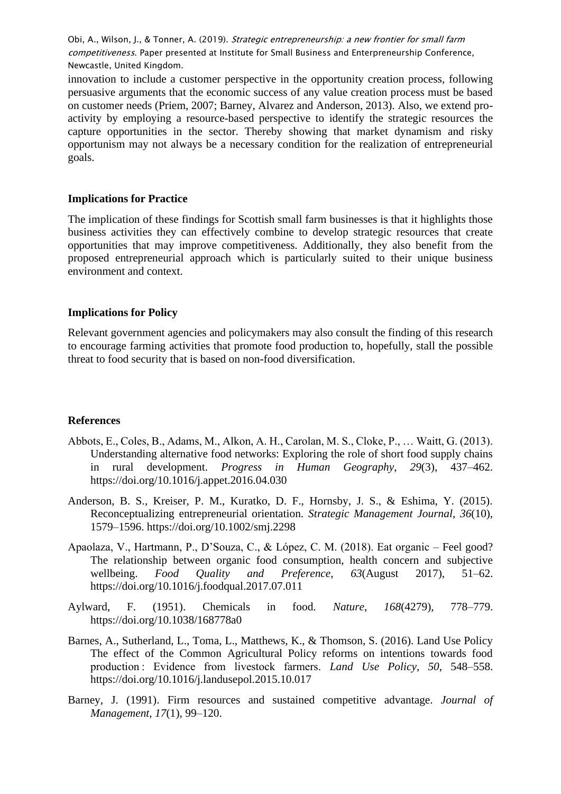innovation to include a customer perspective in the opportunity creation process, following persuasive arguments that the economic success of any value creation process must be based on customer needs (Priem, 2007; Barney, Alvarez and Anderson, 2013). Also, we extend proactivity by employing a resource-based perspective to identify the strategic resources the capture opportunities in the sector. Thereby showing that market dynamism and risky opportunism may not always be a necessary condition for the realization of entrepreneurial goals.

### **Implications for Practice**

The implication of these findings for Scottish small farm businesses is that it highlights those business activities they can effectively combine to develop strategic resources that create opportunities that may improve competitiveness. Additionally, they also benefit from the proposed entrepreneurial approach which is particularly suited to their unique business environment and context.

### **Implications for Policy**

Relevant government agencies and policymakers may also consult the finding of this research to encourage farming activities that promote food production to, hopefully, stall the possible threat to food security that is based on non-food diversification.

#### **References**

- Abbots, E., Coles, B., Adams, M., Alkon, A. H., Carolan, M. S., Cloke, P., … Waitt, G. (2013). Understanding alternative food networks: Exploring the role of short food supply chains in rural development. *Progress in Human Geography*, *29*(3), 437–462. https://doi.org/10.1016/j.appet.2016.04.030
- Anderson, B. S., Kreiser, P. M., Kuratko, D. F., Hornsby, J. S., & Eshima, Y. (2015). Reconceptualizing entrepreneurial orientation. *Strategic Management Journal*, *36*(10), 1579–1596. https://doi.org/10.1002/smj.2298
- Apaolaza, V., Hartmann, P., D'Souza, C., & López, C. M. (2018). Eat organic Feel good? The relationship between organic food consumption, health concern and subjective wellbeing. *Food Quality and Preference*, *63*(August 2017), 51–62. https://doi.org/10.1016/j.foodqual.2017.07.011
- Aylward, F. (1951). Chemicals in food. *Nature*, *168*(4279), 778–779. https://doi.org/10.1038/168778a0
- Barnes, A., Sutherland, L., Toma, L., Matthews, K., & Thomson, S. (2016). Land Use Policy The effect of the Common Agricultural Policy reforms on intentions towards food production : Evidence from livestock farmers. *Land Use Policy*, *50*, 548–558. https://doi.org/10.1016/j.landusepol.2015.10.017
- Barney, J. (1991). Firm resources and sustained competitive advantage. *Journal of Management*, *17*(1), 99–120.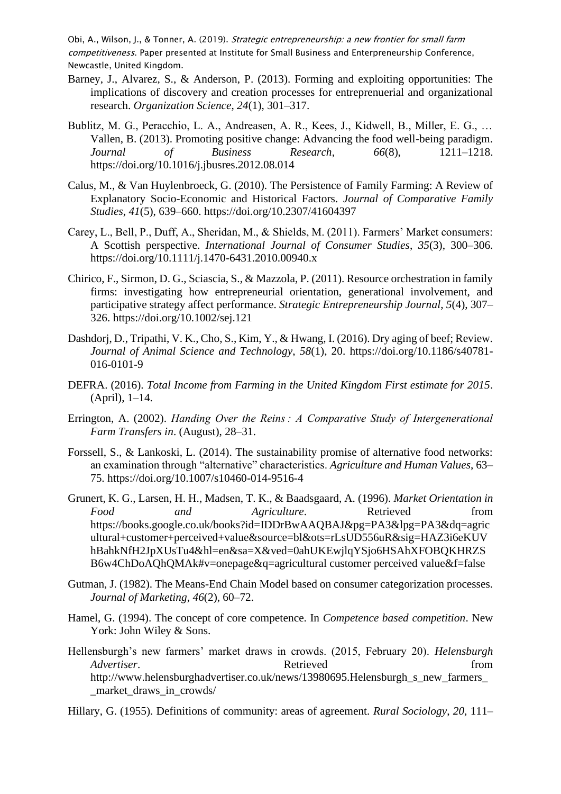- Barney, J., Alvarez, S., & Anderson, P. (2013). Forming and exploiting opportunities: The implications of discovery and creation processes for entreprenuerial and organizational research. *Organization Science*, *24*(1), 301–317.
- Bublitz, M. G., Peracchio, L. A., Andreasen, A. R., Kees, J., Kidwell, B., Miller, E. G., … Vallen, B. (2013). Promoting positive change: Advancing the food well-being paradigm. *Journal of Business Research*, *66*(8), 1211–1218. https://doi.org/10.1016/j.jbusres.2012.08.014
- Calus, M., & Van Huylenbroeck, G. (2010). The Persistence of Family Farming: A Review of Explanatory Socio-Economic and Historical Factors. *Journal of Comparative Family Studies*, *41*(5), 639–660. https://doi.org/10.2307/41604397
- Carey, L., Bell, P., Duff, A., Sheridan, M., & Shields, M. (2011). Farmers' Market consumers: A Scottish perspective. *International Journal of Consumer Studies*, *35*(3), 300–306. https://doi.org/10.1111/j.1470-6431.2010.00940.x
- Chirico, F., Sirmon, D. G., Sciascia, S., & Mazzola, P. (2011). Resource orchestration in family firms: investigating how entrepreneurial orientation, generational involvement, and participative strategy affect performance. *Strategic Entrepreneurship Journal*, *5*(4), 307– 326. https://doi.org/10.1002/sej.121
- Dashdorj, D., Tripathi, V. K., Cho, S., Kim, Y., & Hwang, I. (2016). Dry aging of beef; Review. *Journal of Animal Science and Technology*, *58*(1), 20. https://doi.org/10.1186/s40781- 016-0101-9
- DEFRA. (2016). *Total Income from Farming in the United Kingdom First estimate for 2015*. (April), 1–14.
- Errington, A. (2002). *Handing Over the Reins : A Comparative Study of Intergenerational Farm Transfers in*. (August), 28–31.
- Forssell, S., & Lankoski, L. (2014). The sustainability promise of alternative food networks: an examination through "alternative" characteristics. *Agriculture and Human Values*, 63– 75. https://doi.org/10.1007/s10460-014-9516-4
- Grunert, K. G., Larsen, H. H., Madsen, T. K., & Baadsgaard, A. (1996). *Market Orientation in Food* and *Agriculture*. Retrieved from https://books.google.co.uk/books?id=IDDrBwAAQBAJ&pg=PA3&lpg=PA3&dq=agric ultural+customer+perceived+value&source=bl&ots=rLsUD556uR&sig=HAZ3i6eKUV hBahkNfH2JpXUsTu4&hl=en&sa=X&ved=0ahUKEwjlqYSjo6HSAhXFOBQKHRZS B6w4ChDoAQhQMAk#v=onepage&q=agricultural customer perceived value&f=false
- Gutman, J. (1982). The Means-End Chain Model based on consumer categorization processes. *Journal of Marketing*, *46*(2), 60–72.
- Hamel, G. (1994). The concept of core competence. In *Competence based competition*. New York: John Wiley & Sons.
- Hellensburgh's new farmers' market draws in crowds. (2015, February 20). *Helensburgh Advertiser.* The results of the Retrieved from the from the set of the set of the set of the set of the set of the set of the set of the set of the set of the set of the set of the set of the set of the set of the set of http://www.helensburghadvertiser.co.uk/news/13980695.Helensburgh\_s\_new\_farmers\_ \_market\_draws\_in\_crowds/
- Hillary, G. (1955). Definitions of community: areas of agreement. *Rural Sociology*, *20*, 111–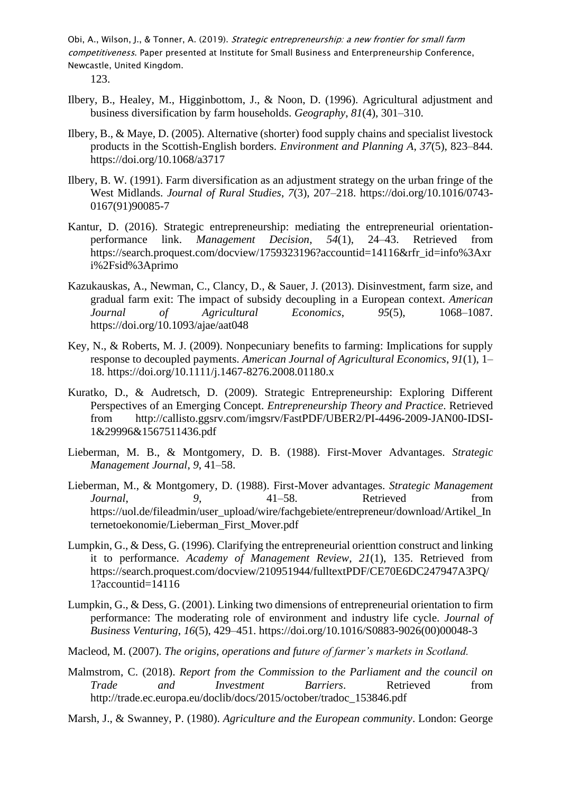123.

- Ilbery, B., Healey, M., Higginbottom, J., & Noon, D. (1996). Agricultural adjustment and business diversification by farm households. *Geography*, *81*(4), 301–310.
- Ilbery, B., & Maye, D. (2005). Alternative (shorter) food supply chains and specialist livestock products in the Scottish-English borders. *Environment and Planning A*, *37*(5), 823–844. https://doi.org/10.1068/a3717
- Ilbery, B. W. (1991). Farm diversification as an adjustment strategy on the urban fringe of the West Midlands. *Journal of Rural Studies*, *7*(3), 207–218. https://doi.org/10.1016/0743- 0167(91)90085-7
- Kantur, D. (2016). Strategic entrepreneurship: mediating the entrepreneurial orientationperformance link. *Management Decision*, *54*(1), 24–43. Retrieved from https://search.proquest.com/docview/1759323196?accountid=14116&rfr\_id=info%3Axr i%2Fsid%3Aprimo
- Kazukauskas, A., Newman, C., Clancy, D., & Sauer, J. (2013). Disinvestment, farm size, and gradual farm exit: The impact of subsidy decoupling in a European context. *American Journal of Agricultural Economics*, *95*(5), 1068–1087. https://doi.org/10.1093/ajae/aat048
- Key, N., & Roberts, M. J. (2009). Nonpecuniary benefits to farming: Implications for supply response to decoupled payments. *American Journal of Agricultural Economics*, *91*(1), 1– 18. https://doi.org/10.1111/j.1467-8276.2008.01180.x
- Kuratko, D., & Audretsch, D. (2009). Strategic Entrepreneurship: Exploring Different Perspectives of an Emerging Concept. *Entrepreneurship Theory and Practice*. Retrieved from http://callisto.ggsrv.com/imgsrv/FastPDF/UBER2/PI-4496-2009-JAN00-IDSI-1&29996&1567511436.pdf
- Lieberman, M. B., & Montgomery, D. B. (1988). First-Mover Advantages. *Strategic Management Journal*, *9*, 41–58.
- Lieberman, M., & Montgomery, D. (1988). First-Mover advantages. *Strategic Management Journal*, 9, 41–58. Retrieved from https://uol.de/fileadmin/user\_upload/wire/fachgebiete/entrepreneur/download/Artikel\_In ternetoekonomie/Lieberman\_First\_Mover.pdf
- Lumpkin, G., & Dess, G. (1996). Clarifying the entrepreneurial orienttion construct and linking it to performance. *Academy of Management Review*, *21*(1), 135. Retrieved from https://search.proquest.com/docview/210951944/fulltextPDF/CE70E6DC247947A3PQ/ 1?accountid=14116
- Lumpkin, G., & Dess, G. (2001). Linking two dimensions of entrepreneurial orientation to firm performance: The moderating role of environment and industry life cycle. *Journal of Business Venturing*, *16*(5), 429–451. https://doi.org/10.1016/S0883-9026(00)00048-3
- Macleod, M. (2007). *The origins, operations and future of farmer's markets in Scotland.*
- Malmstrom, C. (2018). *Report from the Commission to the Parliament and the council on Trade and Investment Barriers*. Retrieved from http://trade.ec.europa.eu/doclib/docs/2015/october/tradoc\_153846.pdf
- Marsh, J., & Swanney, P. (1980). *Agriculture and the European community*. London: George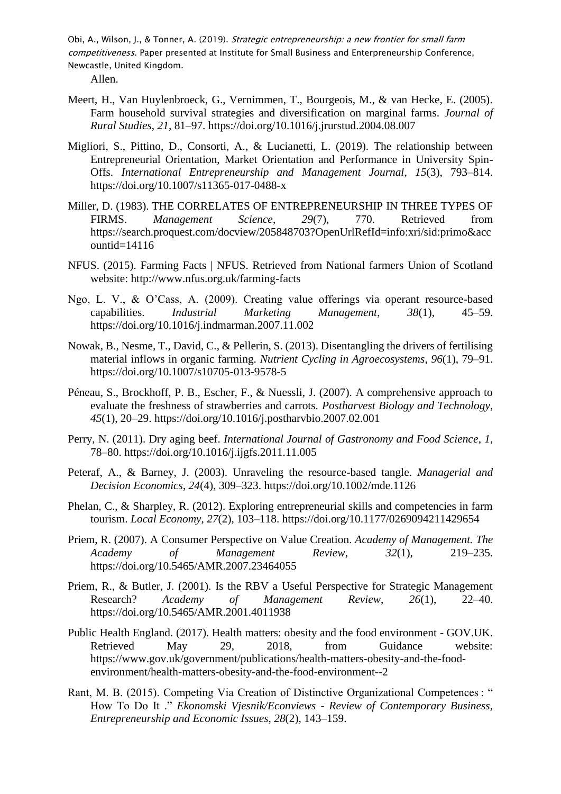Allen.

- Meert, H., Van Huylenbroeck, G., Vernimmen, T., Bourgeois, M., & van Hecke, E. (2005). Farm household survival strategies and diversification on marginal farms. *Journal of Rural Studies*, *21*, 81–97. https://doi.org/10.1016/j.jrurstud.2004.08.007
- Migliori, S., Pittino, D., Consorti, A., & Lucianetti, L. (2019). The relationship between Entrepreneurial Orientation, Market Orientation and Performance in University Spin-Offs. *International Entrepreneurship and Management Journal*, *15*(3), 793–814. https://doi.org/10.1007/s11365-017-0488-x
- Miller, D. (1983). THE CORRELATES OF ENTREPRENEURSHIP IN THREE TYPES OF FIRMS. *Management Science*, *29*(7), 770. Retrieved from https://search.proquest.com/docview/205848703?OpenUrlRefId=info:xri/sid:primo&acc ountid=14116
- NFUS. (2015). Farming Facts | NFUS. Retrieved from National farmers Union of Scotland website: http://www.nfus.org.uk/farming-facts
- Ngo, L. V., & O'Cass, A. (2009). Creating value offerings via operant resource-based capabilities. *Industrial Marketing Management*, *38*(1), 45–59. https://doi.org/10.1016/j.indmarman.2007.11.002
- Nowak, B., Nesme, T., David, C., & Pellerin, S. (2013). Disentangling the drivers of fertilising material inflows in organic farming. *Nutrient Cycling in Agroecosystems*, *96*(1), 79–91. https://doi.org/10.1007/s10705-013-9578-5
- Péneau, S., Brockhoff, P. B., Escher, F., & Nuessli, J. (2007). A comprehensive approach to evaluate the freshness of strawberries and carrots. *Postharvest Biology and Technology*, *45*(1), 20–29. https://doi.org/10.1016/j.postharvbio.2007.02.001
- Perry, N. (2011). Dry aging beef. *International Journal of Gastronomy and Food Science*, *1*, 78–80. https://doi.org/10.1016/j.ijgfs.2011.11.005
- Peteraf, A., & Barney, J. (2003). Unraveling the resource-based tangle. *Managerial and Decision Economics*, *24*(4), 309–323. https://doi.org/10.1002/mde.1126
- Phelan, C., & Sharpley, R. (2012). Exploring entrepreneurial skills and competencies in farm tourism. *Local Economy*, *27*(2), 103–118. https://doi.org/10.1177/0269094211429654
- Priem, R. (2007). A Consumer Perspective on Value Creation. *Academy of Management. The Academy of Management Review*, *32*(1), 219–235. https://doi.org/10.5465/AMR.2007.23464055
- Priem, R., & Butler, J. (2001). Is the RBV a Useful Perspective for Strategic Management Research? *Academy of Management Review*, *26*(1), 22–40. https://doi.org/10.5465/AMR.2001.4011938
- Public Health England. (2017). Health matters: obesity and the food environment GOV.UK. Retrieved May 29, 2018, from Guidance website: https://www.gov.uk/government/publications/health-matters-obesity-and-the-foodenvironment/health-matters-obesity-and-the-food-environment--2
- Rant, M. B. (2015). Competing Via Creation of Distinctive Organizational Competences : " How To Do It ." *Ekonomski Vjesnik/Econviews - Review of Contemporary Business, Entrepreneurship and Economic Issues*, *28*(2), 143–159.